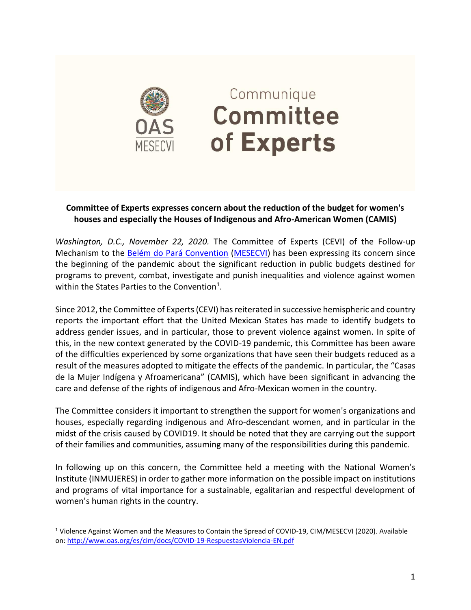

 $\overline{a}$ 

## Communique Committee of Experts

## **Committee of Experts expresses concern about the reduction of the budget for women's houses and especially the Houses of Indigenous and Afro-American Women (CAMIS)**

*Washington, D.C., November 22, 2020.* The Committee of Experts (CEVI) of the Follow-up Mechanism to the **Belém do Pará Convention [\(MESECVI\)](http://www.oas.org/es/mesecvi/nosotros.asp)** has been expressing its concern since the beginning of the pandemic about the significant reduction in public budgets destined for programs to prevent, combat, investigate and punish inequalities and violence against women within the States Parties to the Convention<sup>1</sup>.

Since 2012, the Committee of Experts (CEVI) has reiterated in successive hemispheric and country reports the important effort that the United Mexican States has made to identify budgets to address gender issues, and in particular, those to prevent violence against women. In spite of this, in the new context generated by the COVID-19 pandemic, this Committee has been aware of the difficulties experienced by some organizations that have seen their budgets reduced as a result of the measures adopted to mitigate the effects of the pandemic. In particular, the "Casas de la Mujer Indígena y Afroamericana" (CAMIS), which have been significant in advancing the care and defense of the rights of indigenous and Afro-Mexican women in the country.

The Committee considers it important to strengthen the support for women's organizations and houses, especially regarding indigenous and Afro-descendant women, and in particular in the midst of the crisis caused by COVID19. It should be noted that they are carrying out the support of their families and communities, assuming many of the responsibilities during this pandemic.

In following up on this concern, the Committee held a meeting with the National Women's Institute (INMUJERES) in order to gather more information on the possible impact on institutions and programs of vital importance for a sustainable, egalitarian and respectful development of women's human rights in the country.

<sup>1</sup> Violence Against Women and the Measures to Contain the Spread of COVID-19, CIM/MESECVI (2020). Available on[: http://www.oas.org/es/cim/docs/COVID-19-RespuestasViolencia-EN.pdf](http://www.oas.org/es/cim/docs/COVID-19-RespuestasViolencia-EN.pdf)